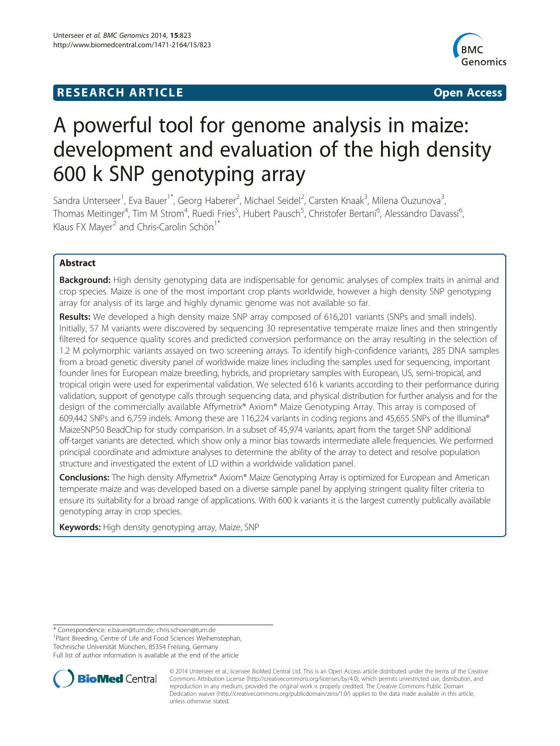## **RESEARCH ARTICLE Example 2014 12:30 The SEAR CHIPS 2014 12:30 The Open Access**



# A powerful tool for genome analysis in maize: development and evaluation of the high density 600 k SNP genotyping array

Sandra Unterseer<sup>1</sup>, Eva Bauer<sup>1\*</sup>, Georg Haberer<sup>2</sup>, Michael Seidel<sup>2</sup>, Carsten Knaak<sup>3</sup>, Milena Ouzunova<sup>3</sup> , Thomas Meitinger<sup>4</sup>, Tim M Strom<sup>4</sup>, Ruedi Fries<sup>5</sup>, Hubert Pausch<sup>5</sup>, Christofer Bertani<sup>6</sup>, Alessandro Davassi<sup>6</sup> , Klaus FX Mayer<sup>2</sup> and Chris-Carolin Schön<sup>1\*</sup>

## Abstract

Background: High density genotyping data are indispensable for genomic analyses of complex traits in animal and crop species. Maize is one of the most important crop plants worldwide, however a high density SNP genotyping array for analysis of its large and highly dynamic genome was not available so far.

Results: We developed a high density maize SNP array composed of 616,201 variants (SNPs and small indels). Initially, 57 M variants were discovered by sequencing 30 representative temperate maize lines and then stringently filtered for sequence quality scores and predicted conversion performance on the array resulting in the selection of 1.2 M polymorphic variants assayed on two screening arrays. To identify high-confidence variants, 285 DNA samples from a broad genetic diversity panel of worldwide maize lines including the samples used for sequencing, important founder lines for European maize breeding, hybrids, and proprietary samples with European, US, semi-tropical, and tropical origin were used for experimental validation. We selected 616 k variants according to their performance during validation, support of genotype calls through sequencing data, and physical distribution for further analysis and for the design of the commercially available Affymetrix® Axiom® Maize Genotyping Array. This array is composed of 609,442 SNPs and 6,759 indels. Among these are 116,224 variants in coding regions and 45,655 SNPs of the Illumina® MaizeSNP50 BeadChip for study comparison. In a subset of 45,974 variants, apart from the target SNP additional off-target variants are detected, which show only a minor bias towards intermediate allele frequencies. We performed principal coordinate and admixture analyses to determine the ability of the array to detect and resolve population structure and investigated the extent of LD within a worldwide validation panel.

Conclusions: The high density Affymetrix® Axiom® Maize Genotyping Array is optimized for European and American temperate maize and was developed based on a diverse sample panel by applying stringent quality filter criteria to ensure its suitability for a broad range of applications. With 600 k variants it is the largest currently publically available genotyping array in crop species.

Keywords: High density genotyping array, Maize, SNP

<sup>1</sup>Plant Breeding, Centre of Life and Food Sciences Weihenstephan,

Technische Universität München, 85354 Freising, Germany

Full list of author information is available at the end of the article



© 2014 Unterseer et al.; licensee BioMed Central Ltd. This is an Open Access article distributed under the terms of the Creative Commons Attribution License [\(http://creativecommons.org/licenses/by/4.0\)](http://creativecommons.org/licenses/by/4.0), which permits unrestricted use, distribution, and reproduction in any medium, provided the original work is properly credited. The Creative Commons Public Domain Dedication waiver [\(http://creativecommons.org/publicdomain/zero/1.0/](http://creativecommons.org/publicdomain/zero/1.0/)) applies to the data made available in this article, unless otherwise stated.

<sup>\*</sup> Correspondence: [e.bauer@tum.de](mailto:e.bauer@tum.de); [chris.schoen@tum.de](mailto:chris.schoen@tum.de) <sup>1</sup>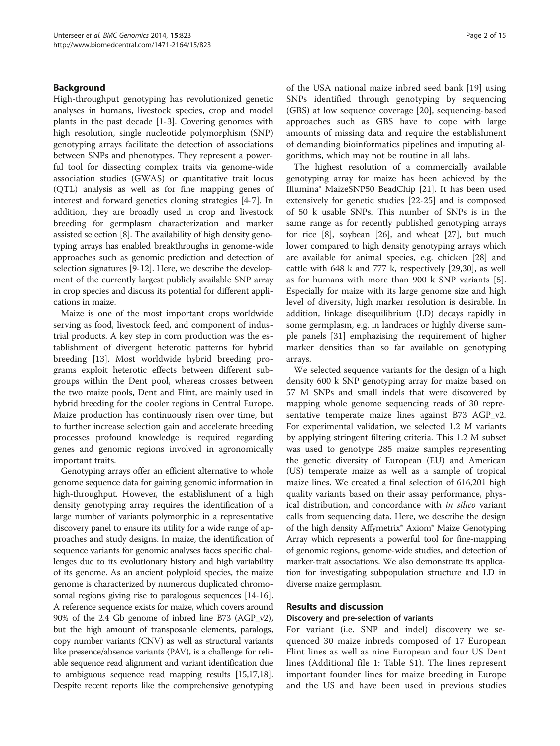## Background

High-throughput genotyping has revolutionized genetic analyses in humans, livestock species, crop and model plants in the past decade [\[1](#page-12-0)-[3\]](#page-12-0). Covering genomes with high resolution, single nucleotide polymorphism (SNP) genotyping arrays facilitate the detection of associations between SNPs and phenotypes. They represent a powerful tool for dissecting complex traits via genome-wide association studies (GWAS) or quantitative trait locus (QTL) analysis as well as for fine mapping genes of interest and forward genetics cloning strategies [[4-7\]](#page-12-0). In addition, they are broadly used in crop and livestock breeding for germplasm characterization and marker assisted selection [[8](#page-12-0)]. The availability of high density genotyping arrays has enabled breakthroughs in genome-wide approaches such as genomic prediction and detection of selection signatures [[9-12\]](#page-12-0). Here, we describe the development of the currently largest publicly available SNP array in crop species and discuss its potential for different applications in maize.

Maize is one of the most important crops worldwide serving as food, livestock feed, and component of industrial products. A key step in corn production was the establishment of divergent heterotic patterns for hybrid breeding [[13](#page-12-0)]. Most worldwide hybrid breeding programs exploit heterotic effects between different subgroups within the Dent pool, whereas crosses between the two maize pools, Dent and Flint, are mainly used in hybrid breeding for the cooler regions in Central Europe. Maize production has continuously risen over time, but to further increase selection gain and accelerate breeding processes profound knowledge is required regarding genes and genomic regions involved in agronomically important traits.

Genotyping arrays offer an efficient alternative to whole genome sequence data for gaining genomic information in high-throughput. However, the establishment of a high density genotyping array requires the identification of a large number of variants polymorphic in a representative discovery panel to ensure its utility for a wide range of approaches and study designs. In maize, the identification of sequence variants for genomic analyses faces specific challenges due to its evolutionary history and high variability of its genome. As an ancient polyploid species, the maize genome is characterized by numerous duplicated chromosomal regions giving rise to paralogous sequences [\[14-16](#page-12-0)]. A reference sequence exists for maize, which covers around 90% of the 2.4 Gb genome of inbred line B73 (AGP\_v2), but the high amount of transposable elements, paralogs, copy number variants (CNV) as well as structural variants like presence/absence variants (PAV), is a challenge for reliable sequence read alignment and variant identification due to ambiguous sequence read mapping results [\[15,17,18](#page-12-0)]. Despite recent reports like the comprehensive genotyping

of the USA national maize inbred seed bank [[19\]](#page-12-0) using SNPs identified through genotyping by sequencing (GBS) at low sequence coverage [\[20](#page-12-0)], sequencing-based approaches such as GBS have to cope with large amounts of missing data and require the establishment of demanding bioinformatics pipelines and imputing algorithms, which may not be routine in all labs.

The highest resolution of a commercially available genotyping array for maize has been achieved by the Illumina® MaizeSNP50 BeadChip [\[21](#page-12-0)]. It has been used extensively for genetic studies [\[22](#page-13-0)-[25\]](#page-13-0) and is composed of 50 k usable SNPs. This number of SNPs is in the same range as for recently published genotyping arrays for rice [\[8](#page-12-0)], soybean [\[26\]](#page-13-0), and wheat [[27\]](#page-13-0), but much lower compared to high density genotyping arrays which are available for animal species, e.g. chicken [\[28](#page-13-0)] and cattle with 648 k and 777 k, respectively [[29,30\]](#page-13-0), as well as for humans with more than 900 k SNP variants [\[5](#page-12-0)]. Especially for maize with its large genome size and high level of diversity, high marker resolution is desirable. In addition, linkage disequilibrium (LD) decays rapidly in some germplasm, e.g. in landraces or highly diverse sample panels [[31\]](#page-13-0) emphazising the requirement of higher marker densities than so far available on genotyping arrays.

We selected sequence variants for the design of a high density 600 k SNP genotyping array for maize based on 57 M SNPs and small indels that were discovered by mapping whole genome sequencing reads of 30 representative temperate maize lines against B73 AGP\_v2. For experimental validation, we selected 1.2 M variants by applying stringent filtering criteria. This 1.2 M subset was used to genotype 285 maize samples representing the genetic diversity of European (EU) and American (US) temperate maize as well as a sample of tropical maize lines. We created a final selection of 616,201 high quality variants based on their assay performance, physical distribution, and concordance with in silico variant calls from sequencing data. Here, we describe the design of the high density Affymetrix® Axiom® Maize Genotyping Array which represents a powerful tool for fine-mapping of genomic regions, genome-wide studies, and detection of marker-trait associations. We also demonstrate its application for investigating subpopulation structure and LD in diverse maize germplasm.

#### Results and discussion

#### Discovery and pre-selection of variants

For variant (i.e. SNP and indel) discovery we sequenced 30 maize inbreds composed of 17 European Flint lines as well as nine European and four US Dent lines (Additional file [1](#page-11-0): Table S1). The lines represent important founder lines for maize breeding in Europe and the US and have been used in previous studies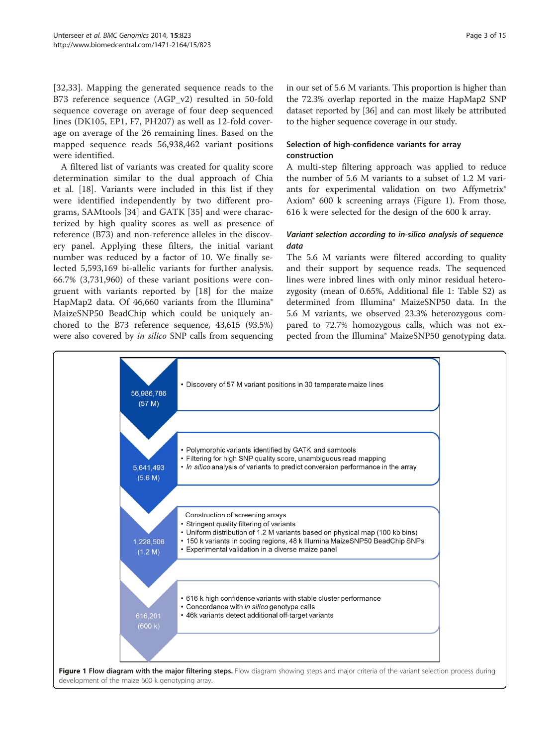[[32,33\]](#page-13-0). Mapping the generated sequence reads to the B73 reference sequence (AGP\_v2) resulted in 50-fold sequence coverage on average of four deep sequenced lines (DK105, EP1, F7, PH207) as well as 12-fold coverage on average of the 26 remaining lines. Based on the mapped sequence reads 56,938,462 variant positions were identified.

A filtered list of variants was created for quality score determination similar to the dual approach of Chia et al. [[18\]](#page-12-0). Variants were included in this list if they were identified independently by two different programs, SAMtools [\[34](#page-13-0)] and GATK [[35\]](#page-13-0) and were characterized by high quality scores as well as presence of reference (B73) and non-reference alleles in the discovery panel. Applying these filters, the initial variant number was reduced by a factor of 10. We finally selected 5,593,169 bi-allelic variants for further analysis. 66.7% (3,731,960) of these variant positions were congruent with variants reported by [\[18](#page-12-0)] for the maize HapMap2 data. Of 46,660 variants from the Illumina® MaizeSNP50 BeadChip which could be uniquely anchored to the B73 reference sequence, 43,615 (93.5%) were also covered by in silico SNP calls from sequencing

in our set of 5.6 M variants. This proportion is higher than the 72.3% overlap reported in the maize HapMap2 SNP dataset reported by [[36](#page-13-0)] and can most likely be attributed to the higher sequence coverage in our study.

## Selection of high-confidence variants for array construction

A multi-step filtering approach was applied to reduce the number of 5.6 M variants to a subset of 1.2 M variants for experimental validation on two Affymetrix® Axiom® 600 k screening arrays (Figure 1). From those, 616 k were selected for the design of the 600 k array.

#### Variant selection according to in-silico analysis of sequence data

The 5.6 M variants were filtered according to quality and their support by sequence reads. The sequenced lines were inbred lines with only minor residual heterozygosity (mean of 0.65%, Additional file [1:](#page-11-0) Table S2) as determined from Illumina® MaizeSNP50 data. In the 5.6 M variants, we observed 23.3% heterozygous compared to 72.7% homozygous calls, which was not expected from the Illumina® MaizeSNP50 genotyping data.

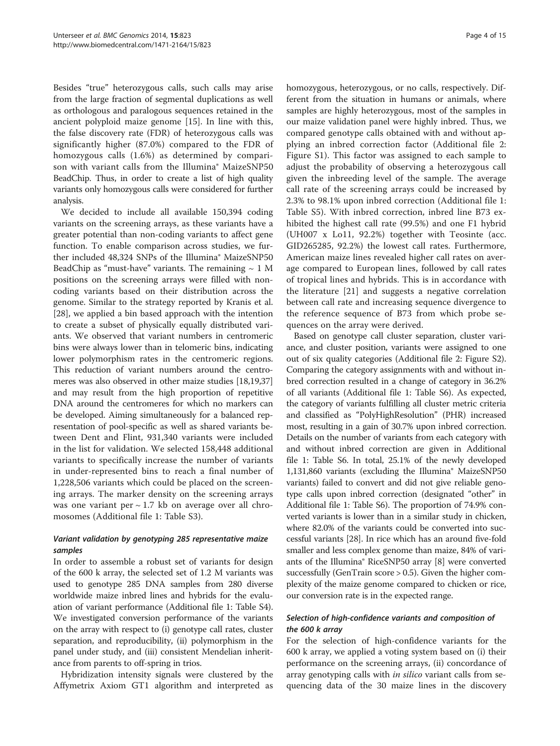Besides "true" heterozygous calls, such calls may arise from the large fraction of segmental duplications as well as orthologous and paralogous sequences retained in the ancient polyploid maize genome [\[15\]](#page-12-0). In line with this, the false discovery rate (FDR) of heterozygous calls was significantly higher (87.0%) compared to the FDR of homozygous calls (1.6%) as determined by comparison with variant calls from the Illumina® MaizeSNP50 BeadChip. Thus, in order to create a list of high quality variants only homozygous calls were considered for further analysis.

We decided to include all available 150,394 coding variants on the screening arrays, as these variants have a greater potential than non-coding variants to affect gene function. To enable comparison across studies, we further included 48,324 SNPs of the Illumina® MaizeSNP50 BeadChip as "must-have" variants. The remaining  $\sim 1$  M positions on the screening arrays were filled with noncoding variants based on their distribution across the genome. Similar to the strategy reported by Kranis et al. [[28\]](#page-13-0), we applied a bin based approach with the intention to create a subset of physically equally distributed variants. We observed that variant numbers in centromeric bins were always lower than in telomeric bins, indicating lower polymorphism rates in the centromeric regions. This reduction of variant numbers around the centromeres was also observed in other maize studies [\[18,19,](#page-12-0)[37](#page-13-0)] and may result from the high proportion of repetitive DNA around the centromeres for which no markers can be developed. Aiming simultaneously for a balanced representation of pool-specific as well as shared variants between Dent and Flint, 931,340 variants were included in the list for validation. We selected 158,448 additional variants to specifically increase the number of variants in under-represented bins to reach a final number of 1,228,506 variants which could be placed on the screening arrays. The marker density on the screening arrays was one variant per  $\sim$  1.7 kb on average over all chromosomes (Additional file [1:](#page-11-0) Table S3).

## Variant validation by genotyping 285 representative maize samples

In order to assemble a robust set of variants for design of the 600 k array, the selected set of 1.2 M variants was used to genotype 285 DNA samples from 280 diverse worldwide maize inbred lines and hybrids for the evaluation of variant performance (Additional file [1](#page-11-0): Table S4). We investigated conversion performance of the variants on the array with respect to (i) genotype call rates, cluster separation, and reproducibility, (ii) polymorphism in the panel under study, and (iii) consistent Mendelian inheritance from parents to off-spring in trios.

Hybridization intensity signals were clustered by the Affymetrix Axiom GT1 algorithm and interpreted as homozygous, heterozygous, or no calls, respectively. Different from the situation in humans or animals, where samples are highly heterozygous, most of the samples in our maize validation panel were highly inbred. Thus, we compared genotype calls obtained with and without applying an inbred correction factor (Additional file [2](#page-11-0): Figure S1). This factor was assigned to each sample to adjust the probability of observing a heterozygous call given the inbreeding level of the sample. The average call rate of the screening arrays could be increased by 2.3% to 98.1% upon inbred correction (Additional file [1](#page-11-0): Table S5). With inbred correction, inbred line B73 exhibited the highest call rate (99.5%) and one F1 hybrid (UH007 x Lo11, 92.2%) together with Teosinte (acc. GID265285, 92.2%) the lowest call rates. Furthermore, American maize lines revealed higher call rates on average compared to European lines, followed by call rates of tropical lines and hybrids. This is in accordance with the literature [[21](#page-12-0)] and suggests a negative correlation between call rate and increasing sequence divergence to the reference sequence of B73 from which probe sequences on the array were derived.

Based on genotype call cluster separation, cluster variance, and cluster position, variants were assigned to one out of six quality categories (Additional file [2](#page-11-0): Figure S2). Comparing the category assignments with and without inbred correction resulted in a change of category in 36.2% of all variants (Additional file [1:](#page-11-0) Table S6). As expected, the category of variants fulfilling all cluster metric criteria and classified as "PolyHighResolution" (PHR) increased most, resulting in a gain of 30.7% upon inbred correction. Details on the number of variants from each category with and without inbred correction are given in Additional file [1](#page-11-0): Table S6. In total, 25.1% of the newly developed 1,131,860 variants (excluding the Illumina® MaizeSNP50 variants) failed to convert and did not give reliable genotype calls upon inbred correction (designated "other" in Additional file [1](#page-11-0): Table S6). The proportion of 74.9% converted variants is lower than in a similar study in chicken, where 82.0% of the variants could be converted into successful variants [\[28](#page-13-0)]. In rice which has an around five-fold smaller and less complex genome than maize, 84% of variants of the Illumina® RiceSNP50 array [\[8](#page-12-0)] were converted successfully (GenTrain score > 0.5). Given the higher complexity of the maize genome compared to chicken or rice, our conversion rate is in the expected range.

## Selection of high-confidence variants and composition of the 600 k array

For the selection of high-confidence variants for the 600 k array, we applied a voting system based on (i) their performance on the screening arrays, (ii) concordance of array genotyping calls with *in silico* variant calls from sequencing data of the 30 maize lines in the discovery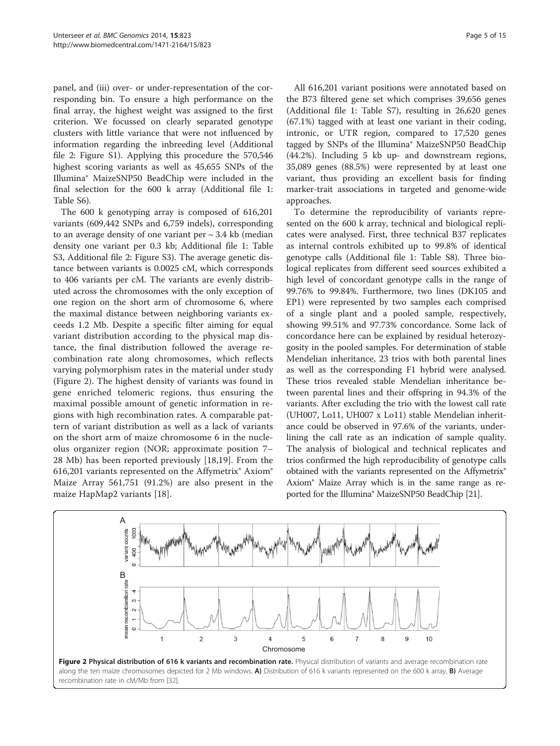panel, and (iii) over- or under-representation of the corresponding bin. To ensure a high performance on the final array, the highest weight was assigned to the first criterion. We focussed on clearly separated genotype clusters with little variance that were not influenced by information regarding the inbreeding level (Additional file [2](#page-11-0): Figure S1). Applying this procedure the 570,546 highest scoring variants as well as 45,655 SNPs of the Illumina® MaizeSNP50 BeadChip were included in the final selection for the 600 k array (Additional file [1](#page-11-0): Table S6).

The 600 k genotyping array is composed of 616,201 variants (609,442 SNPs and 6,759 indels), corresponding to an average density of one variant per  $\sim$  3.4 kb (median density one variant per 0.3 kb; Additional file [1:](#page-11-0) Table S3, Additional file [2](#page-11-0): Figure S3). The average genetic distance between variants is 0.0025 cM, which corresponds to 406 variants per cM. The variants are evenly distributed across the chromosomes with the only exception of one region on the short arm of chromosome 6, where the maximal distance between neighboring variants exceeds 1.2 Mb. Despite a specific filter aiming for equal variant distribution according to the physical map distance, the final distribution followed the average recombination rate along chromosomes, which reflects varying polymorphism rates in the material under study (Figure 2). The highest density of variants was found in gene enriched telomeric regions, thus ensuring the maximal possible amount of genetic information in regions with high recombination rates. A comparable pattern of variant distribution as well as a lack of variants on the short arm of maize chromosome 6 in the nucleolus organizer region (NOR; approximate position 7– 28 Mb) has been reported previously [\[18](#page-12-0),[19\]](#page-12-0). From the 616,201 variants represented on the Affymetrix® Axiom® Maize Array 561,751 (91.2%) are also present in the maize HapMap2 variants [\[18](#page-12-0)].

All 616,201 variant positions were annotated based on the B73 filtered gene set which comprises 39,656 genes (Additional file [1:](#page-11-0) Table S7), resulting in 26,620 genes (67.1%) tagged with at least one variant in their coding, intronic, or UTR region, compared to 17,520 genes tagged by SNPs of the Illumina® MaizeSNP50 BeadChip (44.2%). Including 5 kb up- and downstream regions, 35,089 genes (88.5%) were represented by at least one variant, thus providing an excellent basis for finding marker-trait associations in targeted and genome-wide approaches.

To determine the reproducibility of variants represented on the 600 k array, technical and biological replicates were analysed. First, three technical B37 replicates as internal controls exhibited up to 99.8% of identical genotype calls (Additional file [1:](#page-11-0) Table S8). Three biological replicates from different seed sources exhibited a high level of concordant genotype calls in the range of 99.76% to 99.84%. Furthermore, two lines (DK105 and EP1) were represented by two samples each comprised of a single plant and a pooled sample, respectively, showing 99.51% and 97.73% concordance. Some lack of concordance here can be explained by residual heterozygosity in the pooled samples. For determination of stable Mendelian inheritance, 23 trios with both parental lines as well as the corresponding F1 hybrid were analysed. These trios revealed stable Mendelian inheritance between parental lines and their offspring in 94.3% of the variants. After excluding the trio with the lowest call rate (UH007, Lo11, UH007 x Lo11) stable Mendelian inheritance could be observed in 97.6% of the variants, underlining the call rate as an indication of sample quality. The analysis of biological and technical replicates and trios confirmed the high reproducibility of genotype calls obtained with the variants represented on the Affymetrix® Axiom® Maize Array which is in the same range as reported for the Illumina® MaizeSNP50 BeadChip [\[21\]](#page-12-0).



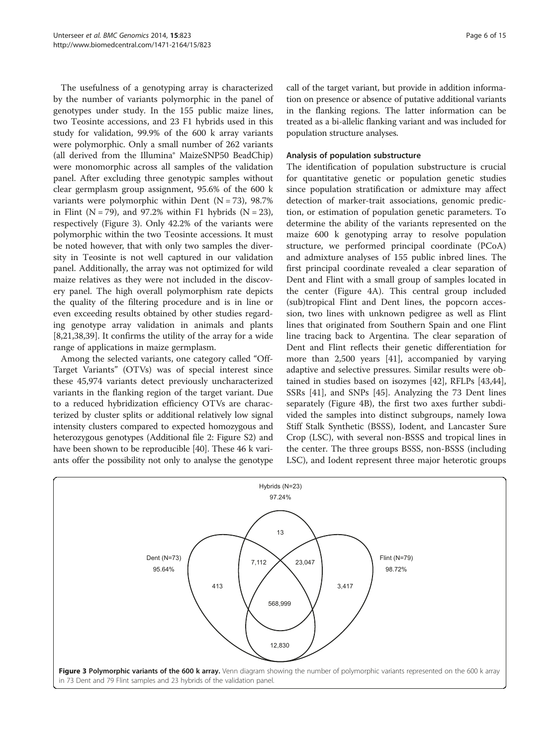The usefulness of a genotyping array is characterized by the number of variants polymorphic in the panel of genotypes under study. In the 155 public maize lines, two Teosinte accessions, and 23 F1 hybrids used in this study for validation, 99.9% of the 600 k array variants were polymorphic. Only a small number of 262 variants (all derived from the Illumina® MaizeSNP50 BeadChip) were monomorphic across all samples of the validation panel. After excluding three genotypic samples without clear germplasm group assignment, 95.6% of the 600 k variants were polymorphic within Dent  $(N = 73)$ , 98.7% in Flint ( $N = 79$ ), and 97.2% within F1 hybrids ( $N = 23$ ), respectively (Figure 3). Only 42.2% of the variants were polymorphic within the two Teosinte accessions. It must be noted however, that with only two samples the diversity in Teosinte is not well captured in our validation panel. Additionally, the array was not optimized for wild maize relatives as they were not included in the discovery panel. The high overall polymorphism rate depicts the quality of the filtering procedure and is in line or even exceeding results obtained by other studies regarding genotype array validation in animals and plants [[8,21,](#page-12-0)[38,39\]](#page-13-0). It confirms the utility of the array for a wide range of applications in maize germplasm.

Among the selected variants, one category called "Off-Target Variants" (OTVs) was of special interest since these 45,974 variants detect previously uncharacterized variants in the flanking region of the target variant. Due to a reduced hybridization efficiency OTVs are characterized by cluster splits or additional relatively low signal intensity clusters compared to expected homozygous and heterozygous genotypes (Additional file [2](#page-11-0): Figure S2) and have been shown to be reproducible [[40](#page-13-0)]. These 46 k variants offer the possibility not only to analyse the genotype

call of the target variant, but provide in addition information on presence or absence of putative additional variants in the flanking regions. The latter information can be treated as a bi-allelic flanking variant and was included for population structure analyses.

#### Analysis of population substructure

The identification of population substructure is crucial for quantitative genetic or population genetic studies since population stratification or admixture may affect detection of marker-trait associations, genomic prediction, or estimation of population genetic parameters. To determine the ability of the variants represented on the maize 600 k genotyping array to resolve population structure, we performed principal coordinate (PCoA) and admixture analyses of 155 public inbred lines. The first principal coordinate revealed a clear separation of Dent and Flint with a small group of samples located in the center (Figure [4A](#page-6-0)). This central group included (sub)tropical Flint and Dent lines, the popcorn accession, two lines with unknown pedigree as well as Flint lines that originated from Southern Spain and one Flint line tracing back to Argentina. The clear separation of Dent and Flint reflects their genetic differentiation for more than 2,500 years [\[41](#page-13-0)], accompanied by varying adaptive and selective pressures. Similar results were obtained in studies based on isozymes [\[42](#page-13-0)], RFLPs [\[43,44](#page-13-0)], SSRs [\[41\]](#page-13-0), and SNPs [[45\]](#page-13-0). Analyzing the 73 Dent lines separately (Figure [4](#page-6-0)B), the first two axes further subdivided the samples into distinct subgroups, namely Iowa Stiff Stalk Synthetic (BSSS), Iodent, and Lancaster Sure Crop (LSC), with several non-BSSS and tropical lines in the center. The three groups BSSS, non-BSSS (including LSC), and Iodent represent three major heterotic groups

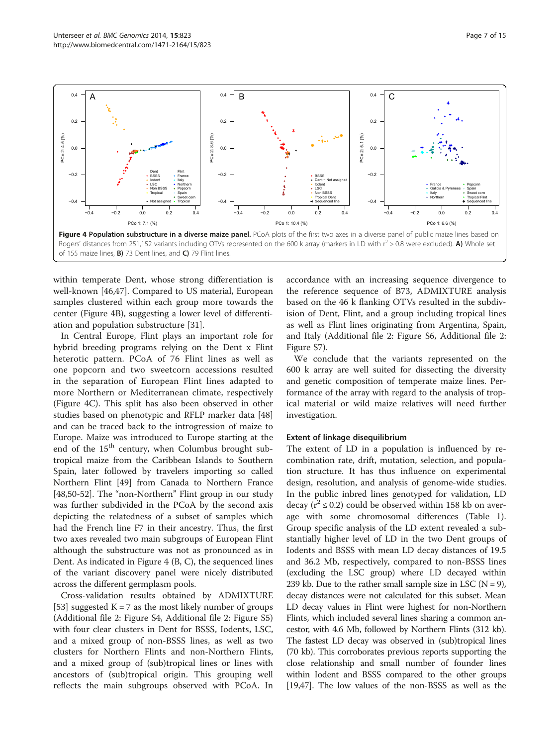<span id="page-6-0"></span>

within temperate Dent, whose strong differentiation is well-known [[46](#page-13-0),[47](#page-13-0)]. Compared to US material, European samples clustered within each group more towards the center (Figure 4B), suggesting a lower level of differentiation and population substructure [[31](#page-13-0)].

In Central Europe, Flint plays an important role for hybrid breeding programs relying on the Dent x Flint heterotic pattern. PCoA of 76 Flint lines as well as one popcorn and two sweetcorn accessions resulted in the separation of European Flint lines adapted to more Northern or Mediterranean climate, respectively (Figure 4C). This split has also been observed in other studies based on phenotypic and RFLP marker data [[48](#page-13-0)] and can be traced back to the introgression of maize to Europe. Maize was introduced to Europe starting at the end of the  $15<sup>th</sup>$  century, when Columbus brought subtropical maize from the Caribbean Islands to Southern Spain, later followed by travelers importing so called Northern Flint [\[49](#page-13-0)] from Canada to Northern France [[48,50-52\]](#page-13-0). The "non-Northern" Flint group in our study was further subdivided in the PCoA by the second axis depicting the relatedness of a subset of samples which had the French line F7 in their ancestry. Thus, the first two axes revealed two main subgroups of European Flint although the substructure was not as pronounced as in Dent. As indicated in Figure 4 (B, C), the sequenced lines of the variant discovery panel were nicely distributed across the different germplasm pools.

Cross-validation results obtained by ADMIXTURE [[53\]](#page-13-0) suggested  $K = 7$  as the most likely number of groups (Additional file [2:](#page-11-0) Figure S4, Additional file [2](#page-11-0): Figure S5) with four clear clusters in Dent for BSSS, Iodents, LSC, and a mixed group of non-BSSS lines, as well as two clusters for Northern Flints and non-Northern Flints, and a mixed group of (sub)tropical lines or lines with ancestors of (sub)tropical origin. This grouping well reflects the main subgroups observed with PCoA. In

accordance with an increasing sequence divergence to the reference sequence of B73, ADMIXTURE analysis based on the 46 k flanking OTVs resulted in the subdivision of Dent, Flint, and a group including tropical lines as well as Flint lines originating from Argentina, Spain, and Italy (Additional file [2:](#page-11-0) Figure S6, Additional file [2](#page-11-0): Figure S7).

We conclude that the variants represented on the 600 k array are well suited for dissecting the diversity and genetic composition of temperate maize lines. Performance of the array with regard to the analysis of tropical material or wild maize relatives will need further investigation.

#### Extent of linkage disequilibrium

The extent of LD in a population is influenced by recombination rate, drift, mutation, selection, and population structure. It has thus influence on experimental design, resolution, and analysis of genome-wide studies. In the public inbred lines genotyped for validation, LD decay ( $r^2 \le 0.2$ ) could be observed within 158 kb on average with some chromosomal differences (Table [1](#page-7-0)). Group specific analysis of the LD extent revealed a substantially higher level of LD in the two Dent groups of Iodents and BSSS with mean LD decay distances of 19.5 and 36.2 Mb, respectively, compared to non-BSSS lines (excluding the LSC group) where LD decayed within 239 kb. Due to the rather small sample size in LSC ( $N = 9$ ), decay distances were not calculated for this subset. Mean LD decay values in Flint were highest for non-Northern Flints, which included several lines sharing a common ancestor, with 4.6 Mb, followed by Northern Flints (312 kb). The fastest LD decay was observed in (sub)tropical lines (70 kb). This corroborates previous reports supporting the close relationship and small number of founder lines within Iodent and BSSS compared to the other groups [[19](#page-12-0)[,47\]](#page-13-0). The low values of the non-BSSS as well as the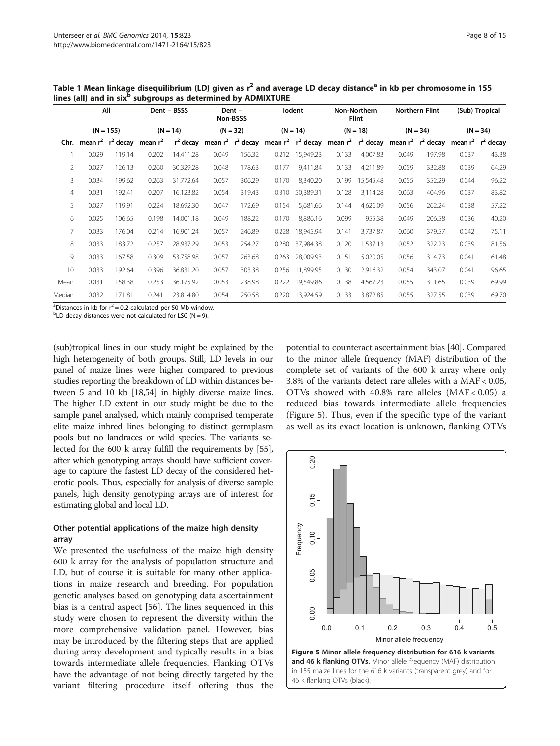|               | All         |                                        | Dent - BSSS |            | Dent -<br>Non-BSSS |        | lodent     |                 | Non-Northern<br><b>Flint</b> |                                                                                                                                | <b>Northern Flint</b> |        | (Sub) Tropical |       |
|---------------|-------------|----------------------------------------|-------------|------------|--------------------|--------|------------|-----------------|------------------------------|--------------------------------------------------------------------------------------------------------------------------------|-----------------------|--------|----------------|-------|
|               | $(N = 155)$ |                                        | $(N = 14)$  |            | $(N = 32)$         |        | $(N = 14)$ |                 | $(N = 18)$                   |                                                                                                                                | $(N = 34)$            |        | $(N = 34)$     |       |
|               |             | Chr. mean $r^2$ $r^2$ decay mean $r^2$ |             |            |                    |        |            |                 |                              | $r^2$ decay mean $r^2$ $r^2$ decay mean $r^2$ $r^2$ decay mean $r^2$ $r^2$ decay mean $r^2$ $r^2$ decay mean $r^2$ $r^2$ decay |                       |        |                |       |
|               | 0.029       | 119.14                                 | 0.202       | 14,411.28  | 0.049              | 156.32 |            | 0.212 15,949.23 | 0.133                        | 4,007.83                                                                                                                       | 0.049                 | 197.98 | 0.037          | 43.38 |
| $\mathcal{P}$ | 0.027       | 126.13                                 | 0.260       | 30,329.28  | 0.048              | 178.63 | 0.177      | 9,411.84        | 0.133                        | 4,211.89                                                                                                                       | 0.059                 | 332.88 | 0.039          | 64.29 |
| 3             | 0.034       | 199.62                                 | 0.263       | 31,772.64  | 0.057              | 306.29 | 0.170      | 8,340.20        |                              | 0.199 15,545.48                                                                                                                | 0.055                 | 352.29 | 0.044          | 96.22 |
| 4             | 0.031       | 192.41                                 | 0.207       | 16,123.82  | 0.054              | 319.43 | 0.310      | 50,389.31       | 0.128                        | 3,114.28                                                                                                                       | 0.063                 | 404.96 | 0.037          | 83.82 |
| 5             | 0.027       | 119.91                                 | 0.224       | 18,692.30  | 0.047              | 172.69 | 0.154      | 5,681.66        | 0.144                        | 4,626.09                                                                                                                       | 0.056                 | 262.24 | 0.038          | 57.22 |
| 6             | 0.025       | 106.65                                 | 0.198       | 14,001.18  | 0.049              | 188.22 | 0.170      | 8,886.16        | 0.099                        | 955.38                                                                                                                         | 0.049                 | 206.58 | 0.036          | 40.20 |
| 7             | 0.033       | 176.04                                 | 0.214       | 16,901.24  | 0.057              | 246.89 | 0.228      | 18,945.94       | 0.141                        | 3,737.87                                                                                                                       | 0.060                 | 379.57 | 0.042          | 75.11 |
| 8             | 0.033       | 183.72                                 | 0.257       | 28,937.29  | 0.053              | 254.27 |            | 0.280 37,984.38 | 0.120                        | 1,537.13                                                                                                                       | 0.052                 | 322.23 | 0.039          | 81.56 |
| 9             | 0.033       | 167.58                                 | 0.309       | 53,758.98  | 0.057              | 263.68 | 0.263      | 28,009.93       | 0.151                        | 5,020.05                                                                                                                       | 0.056                 | 314.73 | 0.041          | 61.48 |
| 10            | 0.033       | 192.64                                 | 0.396       | 136,831.20 | 0.057              | 303.38 |            | 0.256 11,899.95 | 0.130                        | 2,916.32                                                                                                                       | 0.054                 | 343.07 | 0.041          | 96.65 |
| Mean          | 0.031       | 158.38                                 | 0.253       | 36,175.92  | 0.053              | 238.98 |            | 0.222 19,549.86 | 0.138                        | 4,567.23                                                                                                                       | 0.055                 | 311.65 | 0.039          | 69.99 |
| Median        | 0.032       | 171.81                                 | 0.241       | 23,814.80  | 0.054              | 250.58 |            | 0.220 13,924.59 | 0.133                        | 3,872.85                                                                                                                       | 0.055                 | 327.55 | 0.039          | 69.70 |

<span id="page-7-0"></span>Table 1 Mean linkage disequilibrium (LD) given as  $r^2$  and average LD decay distance<sup>a</sup> in kb per chromosome in 155 lines (all) and in six $<sup>b</sup>$  subgroups as determined by ADMIXTURE</sup>

<sup>a</sup> Distances in kb for  $r^2 = 0.2$  calculated per 50 Mb window.<br><sup>b</sup>LD decay distances were not calculated for LSC (N – 9)

 $b$ LD decay distances were not calculated for LSC (N = 9).

(sub)tropical lines in our study might be explained by the high heterogeneity of both groups. Still, LD levels in our panel of maize lines were higher compared to previous studies reporting the breakdown of LD within distances between 5 and 10 kb [\[18](#page-12-0)[,54\]](#page-13-0) in highly diverse maize lines. The higher LD extent in our study might be due to the sample panel analysed, which mainly comprised temperate elite maize inbred lines belonging to distinct germplasm pools but no landraces or wild species. The variants selected for the 600 k array fulfill the requirements by [[55](#page-13-0)], after which genotyping arrays should have sufficient coverage to capture the fastest LD decay of the considered heterotic pools. Thus, especially for analysis of diverse sample panels, high density genotyping arrays are of interest for estimating global and local LD.

## Other potential applications of the maize high density array

We presented the usefulness of the maize high density 600 k array for the analysis of population structure and LD, but of course it is suitable for many other applications in maize research and breeding. For population genetic analyses based on genotyping data ascertainment bias is a central aspect [[56](#page-13-0)]. The lines sequenced in this study were chosen to represent the diversity within the more comprehensive validation panel. However, bias may be introduced by the filtering steps that are applied during array development and typically results in a bias towards intermediate allele frequencies. Flanking OTVs have the advantage of not being directly targeted by the variant filtering procedure itself offering thus the

potential to counteract ascertainment bias [[40\]](#page-13-0). Compared to the minor allele frequency (MAF) distribution of the complete set of variants of the 600 k array where only 3.8% of the variants detect rare alleles with a MAF < 0.05, OTVs showed with  $40.8\%$  rare alleles (MAF < 0.05) a reduced bias towards intermediate allele frequencies (Figure 5). Thus, even if the specific type of the variant as well as its exact location is unknown, flanking OTVs

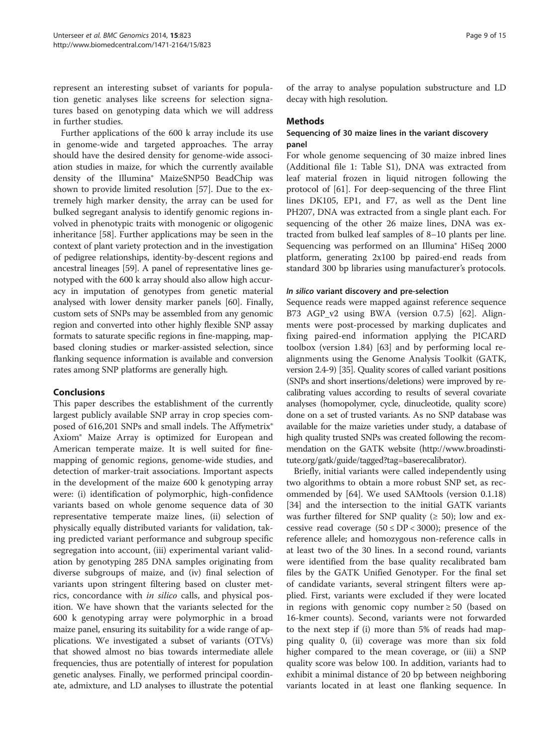represent an interesting subset of variants for population genetic analyses like screens for selection signatures based on genotyping data which we will address in further studies.

Further applications of the 600 k array include its use in genome-wide and targeted approaches. The array should have the desired density for genome-wide association studies in maize, for which the currently available density of the Illumina® MaizeSNP50 BeadChip was shown to provide limited resolution [\[57](#page-13-0)]. Due to the extremely high marker density, the array can be used for bulked segregant analysis to identify genomic regions involved in phenotypic traits with monogenic or oligogenic inheritance [[58\]](#page-13-0). Further applications may be seen in the context of plant variety protection and in the investigation of pedigree relationships, identity-by-descent regions and ancestral lineages [\[59\]](#page-13-0). A panel of representative lines genotyped with the 600 k array should also allow high accuracy in imputation of genotypes from genetic material analysed with lower density marker panels [[60](#page-13-0)]. Finally, custom sets of SNPs may be assembled from any genomic region and converted into other highly flexible SNP assay formats to saturate specific regions in fine-mapping, mapbased cloning studies or marker-assisted selection, since flanking sequence information is available and conversion rates among SNP platforms are generally high.

#### Conclusions

This paper describes the establishment of the currently largest publicly available SNP array in crop species composed of 616,201 SNPs and small indels. The Affymetrix® Axiom® Maize Array is optimized for European and American temperate maize. It is well suited for finemapping of genomic regions, genome-wide studies, and detection of marker-trait associations. Important aspects in the development of the maize 600 k genotyping array were: (i) identification of polymorphic, high-confidence variants based on whole genome sequence data of 30 representative temperate maize lines, (ii) selection of physically equally distributed variants for validation, taking predicted variant performance and subgroup specific segregation into account, (iii) experimental variant validation by genotyping 285 DNA samples originating from diverse subgroups of maize, and (iv) final selection of variants upon stringent filtering based on cluster metrics, concordance with in silico calls, and physical position. We have shown that the variants selected for the 600 k genotyping array were polymorphic in a broad maize panel, ensuring its suitability for a wide range of applications. We investigated a subset of variants (OTVs) that showed almost no bias towards intermediate allele frequencies, thus are potentially of interest for population genetic analyses. Finally, we performed principal coordinate, admixture, and LD analyses to illustrate the potential

of the array to analyse population substructure and LD decay with high resolution.

#### Methods

#### Sequencing of 30 maize lines in the variant discovery panel

For whole genome sequencing of 30 maize inbred lines (Additional file [1](#page-11-0): Table S1), DNA was extracted from leaf material frozen in liquid nitrogen following the protocol of [[61\]](#page-14-0). For deep-sequencing of the three Flint lines DK105, EP1, and F7, as well as the Dent line PH207, DNA was extracted from a single plant each. For sequencing of the other 26 maize lines, DNA was extracted from bulked leaf samples of 8–10 plants per line. Sequencing was performed on an Illumina® HiSeq 2000 platform, generating 2x100 bp paired-end reads from standard 300 bp libraries using manufacturer's protocols.

#### In silico variant discovery and pre-selection

Sequence reads were mapped against reference sequence B73 AGP\_v2 using BWA (version 0.7.5) [[62\]](#page-14-0). Alignments were post-processed by marking duplicates and fixing paired-end information applying the PICARD toolbox (version 1.84) [[63\]](#page-14-0) and by performing local realignments using the Genome Analysis Toolkit (GATK, version 2.4-9) [[35\]](#page-13-0). Quality scores of called variant positions (SNPs and short insertions/deletions) were improved by recalibrating values according to results of several covariate analyses (homopolymer, cycle, dinucleotide, quality score) done on a set of trusted variants. As no SNP database was available for the maize varieties under study, a database of high quality trusted SNPs was created following the recommendation on the GATK website [\(http://www.broadinsti](http://www.broadinstitute.org/gatk/guide/tagged?tag=baserecalibrator)[tute.org/gatk/guide/tagged?tag=baserecalibrator\)](http://www.broadinstitute.org/gatk/guide/tagged?tag=baserecalibrator).

Briefly, initial variants were called independently using two algorithms to obtain a more robust SNP set, as recommended by [[64\]](#page-14-0). We used SAMtools (version 0.1.18) [[34\]](#page-13-0) and the intersection to the initial GATK variants was further filtered for SNP quality ( $\geq$  50); low and excessive read coverage ( $50 \leq DP < 3000$ ); presence of the reference allele; and homozygous non-reference calls in at least two of the 30 lines. In a second round, variants were identified from the base quality recalibrated bam files by the GATK Unified Genotyper. For the final set of candidate variants, several stringent filters were applied. First, variants were excluded if they were located in regions with genomic copy number ≥ 50 (based on 16-kmer counts). Second, variants were not forwarded to the next step if (i) more than 5% of reads had mapping quality 0, (ii) coverage was more than six fold higher compared to the mean coverage, or (iii) a SNP quality score was below 100. In addition, variants had to exhibit a minimal distance of 20 bp between neighboring variants located in at least one flanking sequence. In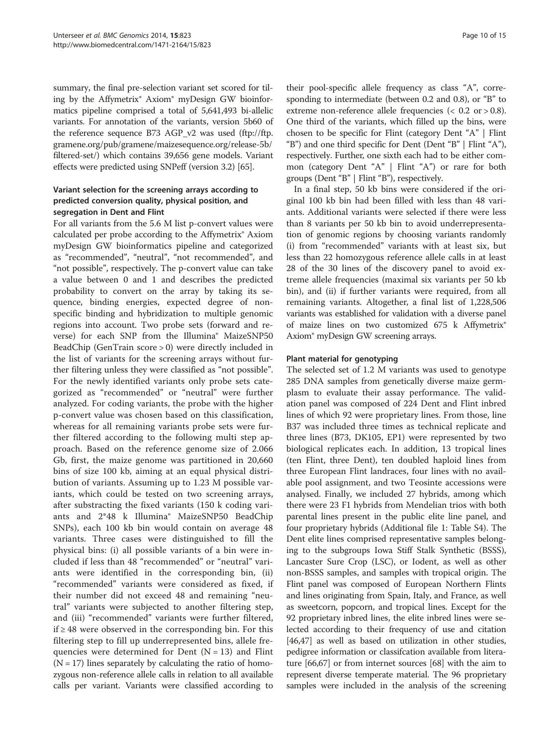summary, the final pre-selection variant set scored for tiling by the Affymetrix® Axiom® myDesign GW bioinformatics pipeline comprised a total of 5,641,493 bi-allelic variants. For annotation of the variants, version 5b60 of the reference sequence B73 AGP\_v2 was used [\(ftp://ftp.](ftp://ftp.gramene.org/pub/gramene/maizesequence.org/release-5b/filtered-set/) [gramene.org/pub/gramene/maizesequence.org/release-5b/](ftp://ftp.gramene.org/pub/gramene/maizesequence.org/release-5b/filtered-set/) [filtered-set/\)](ftp://ftp.gramene.org/pub/gramene/maizesequence.org/release-5b/filtered-set/) which contains 39,656 gene models. Variant effects were predicted using SNPeff (version 3.2) [[65](#page-14-0)].

## Variant selection for the screening arrays according to predicted conversion quality, physical position, and segregation in Dent and Flint

For all variants from the 5.6 M list p-convert values were calculated per probe according to the Affymetrix® Axiom myDesign GW bioinformatics pipeline and categorized as "recommended", "neutral", "not recommended", and "not possible", respectively. The p-convert value can take a value between 0 and 1 and describes the predicted probability to convert on the array by taking its sequence, binding energies, expected degree of nonspecific binding and hybridization to multiple genomic regions into account. Two probe sets (forward and reverse) for each SNP from the Illumina® MaizeSNP50 BeadChip (GenTrain score > 0) were directly included in the list of variants for the screening arrays without further filtering unless they were classified as "not possible". For the newly identified variants only probe sets categorized as "recommended" or "neutral" were further analyzed. For coding variants, the probe with the higher p-convert value was chosen based on this classification, whereas for all remaining variants probe sets were further filtered according to the following multi step approach. Based on the reference genome size of 2.066 Gb, first, the maize genome was partitioned in 20,660 bins of size 100 kb, aiming at an equal physical distribution of variants. Assuming up to 1.23 M possible variants, which could be tested on two screening arrays, after substracting the fixed variants (150 k coding variants and 2\*48 k Illumina® MaizeSNP50 BeadChip SNPs), each 100 kb bin would contain on average 48 variants. Three cases were distinguished to fill the physical bins: (i) all possible variants of a bin were included if less than 48 "recommended" or "neutral" variants were identified in the corresponding bin, (ii) "recommended" variants were considered as fixed, if their number did not exceed 48 and remaining "neutral" variants were subjected to another filtering step, and (iii) "recommended" variants were further filtered, if ≥ 48 were observed in the corresponding bin. For this filtering step to fill up underrepresented bins, allele frequencies were determined for Dent  $(N = 13)$  and Flint  $(N = 17)$  lines separately by calculating the ratio of homozygous non-reference allele calls in relation to all available calls per variant. Variants were classified according to their pool-specific allele frequency as class "A", corresponding to intermediate (between 0.2 and 0.8), or "B" to extreme non-reference allele frequencies (<  $0.2$  or  $> 0.8$ ). One third of the variants, which filled up the bins, were chosen to be specific for Flint (category Dent "A" | Flint "B") and one third specific for Dent (Dent "B" | Flint "A"), respectively. Further, one sixth each had to be either common (category Dent "A" | Flint "A") or rare for both groups (Dent "B" | Flint "B"), respectively.

In a final step, 50 kb bins were considered if the original 100 kb bin had been filled with less than 48 variants. Additional variants were selected if there were less than 8 variants per 50 kb bin to avoid underrepresentation of genomic regions by choosing variants randomly (i) from "recommended" variants with at least six, but less than 22 homozygous reference allele calls in at least 28 of the 30 lines of the discovery panel to avoid extreme allele frequencies (maximal six variants per 50 kb bin), and (ii) if further variants were required, from all remaining variants. Altogether, a final list of 1,228,506 variants was established for validation with a diverse panel of maize lines on two customized 675 k Affymetrix® Axiom® myDesign GW screening arrays.

## Plant material for genotyping

The selected set of 1.2 M variants was used to genotype 285 DNA samples from genetically diverse maize germplasm to evaluate their assay performance. The validation panel was composed of 224 Dent and Flint inbred lines of which 92 were proprietary lines. From those, line B37 was included three times as technical replicate and three lines (B73, DK105, EP1) were represented by two biological replicates each. In addition, 13 tropical lines (ten Flint, three Dent), ten doubled haploid lines from three European Flint landraces, four lines with no available pool assignment, and two Teosinte accessions were analysed. Finally, we included 27 hybrids, among which there were 23 F1 hybrids from Mendelian trios with both parental lines present in the public elite line panel, and four proprietary hybrids (Additional file [1](#page-11-0): Table S4). The Dent elite lines comprised representative samples belonging to the subgroups Iowa Stiff Stalk Synthetic (BSSS), Lancaster Sure Crop (LSC), or Iodent, as well as other non-BSSS samples, and samples with tropical origin. The Flint panel was composed of European Northern Flints and lines originating from Spain, Italy, and France, as well as sweetcorn, popcorn, and tropical lines. Except for the 92 proprietary inbred lines, the elite inbred lines were selected according to their frequency of use and citation [[46](#page-13-0),[47](#page-13-0)] as well as based on utilization in other studies, pedigree information or classifcation available from literature [\[66,67](#page-14-0)] or from internet sources [\[68\]](#page-14-0) with the aim to represent diverse temperate material. The 96 proprietary samples were included in the analysis of the screening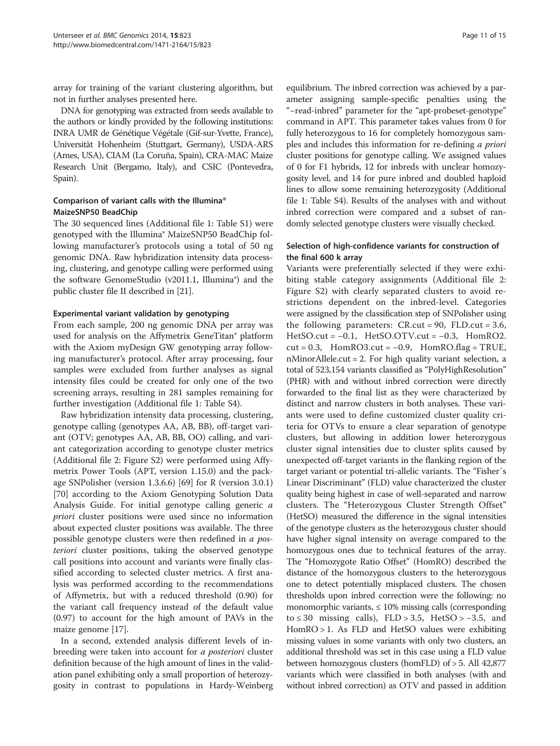array for training of the variant clustering algorithm, but not in further analyses presented here.

DNA for genotyping was extracted from seeds available to the authors or kindly provided by the following institutions: INRA UMR de Génétique Végétale (Gif-sur-Yvette, France), Universität Hohenheim (Stuttgart, Germany), USDA-ARS (Ames, USA), CIAM (La Coruña, Spain), CRA-MAC Maize Research Unit (Bergamo, Italy), and CSIC (Pontevedra, Spain).

## Comparison of variant calls with the Illumina® MaizeSNP50 BeadChip

The 30 sequenced lines (Additional file [1](#page-11-0): Table S1) were genotyped with the Illumina® MaizeSNP50 BeadChip following manufacturer's protocols using a total of 50 ng genomic DNA. Raw hybridization intensity data processing, clustering, and genotype calling were performed using the software GenomeStudio (v2011.1, Illumina®) and the public cluster file II described in [\[21\]](#page-12-0).

## Experimental variant validation by genotyping

From each sample, 200 ng genomic DNA per array was used for analysis on the Affymetrix GeneTitan® platform with the Axiom myDesign GW genotyping array following manufacturer's protocol. After array processing, four samples were excluded from further analyses as signal intensity files could be created for only one of the two screening arrays, resulting in 281 samples remaining for further investigation (Additional file [1](#page-11-0): Table S4).

Raw hybridization intensity data processing, clustering, genotype calling (genotypes AA, AB, BB), off-target variant (OTV; genotypes AA, AB, BB, OO) calling, and variant categorization according to genotype cluster metrics (Additional file [2](#page-11-0): Figure S2) were performed using Affymetrix Power Tools (APT, version 1.15.0) and the package SNPolisher (version 1.3.6.6) [[69\]](#page-14-0) for R (version 3.0.1) [[70\]](#page-14-0) according to the Axiom Genotyping Solution Data Analysis Guide. For initial genotype calling generic a priori cluster positions were used since no information about expected cluster positions was available. The three possible genotype clusters were then redefined in a posteriori cluster positions, taking the observed genotype call positions into account and variants were finally classified according to selected cluster metrics. A first analysis was performed according to the recommendations of Affymetrix, but with a reduced threshold (0.90) for the variant call frequency instead of the default value (0.97) to account for the high amount of PAVs in the maize genome [[17\]](#page-12-0).

In a second, extended analysis different levels of inbreeding were taken into account for a posteriori cluster definition because of the high amount of lines in the validation panel exhibiting only a small proportion of heterozygosity in contrast to populations in Hardy-Weinberg

equilibrium. The inbred correction was achieved by a parameter assigning sample-specific penalties using the "−read-inbred" parameter for the "apt-probeset-genotype" command in APT. This parameter takes values from 0 for fully heterozygous to 16 for completely homozygous samples and includes this information for re-defining a priori cluster positions for genotype calling. We assigned values of 0 for F1 hybrids, 12 for inbreds with unclear homozygosity level, and 14 for pure inbred and doubled haploid lines to allow some remaining heterozygosity (Additional file [1](#page-11-0): Table S4). Results of the analyses with and without inbred correction were compared and a subset of randomly selected genotype clusters were visually checked.

#### Selection of high-confidence variants for construction of the final 600 k array

Variants were preferentially selected if they were exhibiting stable category assignments (Additional file [2](#page-11-0): Figure S2) with clearly separated clusters to avoid restrictions dependent on the inbred-level. Categories were assigned by the classification step of SNPolisher using the following parameters:  $CR-cut = 90$ ,  $FLD-cut = 3.6$ , HetSO.cut = −0.1, HetSO.OTV.cut = −0.3, HomRO2.  $cut = 0.3$ , HomRO3.cut =  $-0.9$ , HomRO.flag = TRUE, nMinorAllele.cut = 2. For high quality variant selection, a total of 523,154 variants classified as "PolyHighResolution" (PHR) with and without inbred correction were directly forwarded to the final list as they were characterized by distinct and narrow clusters in both analyses. These variants were used to define customized cluster quality criteria for OTVs to ensure a clear separation of genotype clusters, but allowing in addition lower heterozygous cluster signal intensities due to cluster splits caused by unexpected off-target variants in the flanking region of the target variant or potential tri-allelic variants. The "Fisher´s Linear Discriminant" (FLD) value characterized the cluster quality being highest in case of well-separated and narrow clusters. The "Heterozygous Cluster Strength Offset" (HetSO) measured the difference in the signal intensities of the genotype clusters as the heterozygous cluster should have higher signal intensity on average compared to the homozygous ones due to technical features of the array. The "Homozygote Ratio Offset" (HomRO) described the distance of the homozygous clusters to the heterozygous one to detect potentially misplaced clusters. The chosen thresholds upon inbred correction were the following: no monomorphic variants,  $\leq 10\%$  missing calls (corresponding to ≤ 30 missing calls), FLD > 3.5, HetSO >  $-3.5$ , and HomRO > 1. As FLD and HetSO values were exhibiting missing values in some variants with only two clusters, an additional threshold was set in this case using a FLD value between homozygous clusters (homFLD) of > 5. All 42,877 variants which were classified in both analyses (with and without inbred correction) as OTV and passed in addition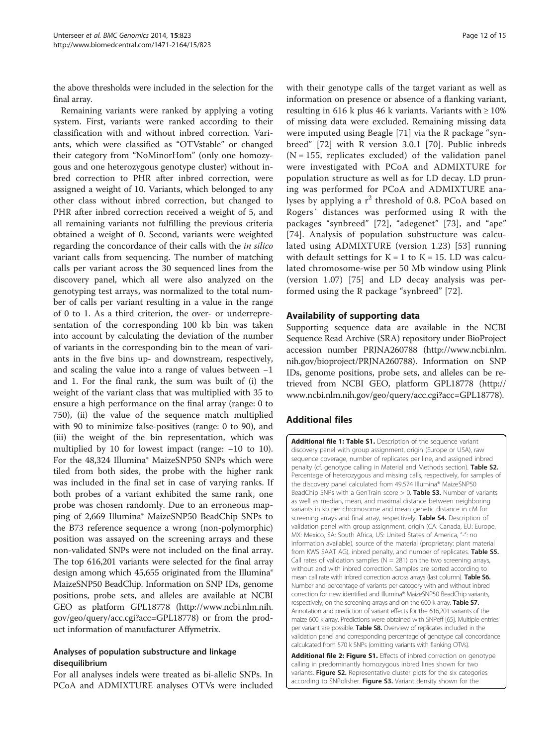<span id="page-11-0"></span>the above thresholds were included in the selection for the final array.

Remaining variants were ranked by applying a voting system. First, variants were ranked according to their classification with and without inbred correction. Variants, which were classified as "OTVstable" or changed their category from "NoMinorHom" (only one homozygous and one heterozygous genotype cluster) without inbred correction to PHR after inbred correction, were assigned a weight of 10. Variants, which belonged to any other class without inbred correction, but changed to PHR after inbred correction received a weight of 5, and all remaining variants not fulfilling the previous criteria obtained a weight of 0. Second, variants were weighted regarding the concordance of their calls with the in silico variant calls from sequencing. The number of matching calls per variant across the 30 sequenced lines from the discovery panel, which all were also analyzed on the genotyping test arrays, was normalized to the total number of calls per variant resulting in a value in the range of 0 to 1. As a third criterion, the over- or underrepresentation of the corresponding 100 kb bin was taken into account by calculating the deviation of the number of variants in the corresponding bin to the mean of variants in the five bins up- and downstream, respectively, and scaling the value into a range of values between −1 and 1. For the final rank, the sum was built of (i) the weight of the variant class that was multiplied with 35 to ensure a high performance on the final array (range: 0 to 750), (ii) the value of the sequence match multiplied with 90 to minimize false-positives (range: 0 to 90), and (iii) the weight of the bin representation, which was multiplied by 10 for lowest impact (range: −10 to 10). For the 48,324 Illumina® MaizeSNP50 SNPs which were tiled from both sides, the probe with the higher rank was included in the final set in case of varying ranks. If both probes of a variant exhibited the same rank, one probe was chosen randomly. Due to an erroneous mapping of 2,669 Illumina® MaizeSNP50 BeadChip SNPs to the B73 reference sequence a wrong (non-polymorphic) position was assayed on the screening arrays and these non-validated SNPs were not included on the final array. The top 616,201 variants were selected for the final array design among which 45,655 originated from the Illumina® MaizeSNP50 BeadChip. Information on SNP IDs, genome positions, probe sets, and alleles are available at NCBI GEO as platform GPL18778 [\(http://www.ncbi.nlm.nih.](http://www.ncbi.nlm.nih.gov/geo/query/acc.cgi?acc=GPL18778) [gov/geo/query/acc.cgi?acc=GPL18778](http://www.ncbi.nlm.nih.gov/geo/query/acc.cgi?acc=GPL18778)) or from the product information of manufacturer Affymetrix.

## Analyses of population substructure and linkage disequilibrium

For all analyses indels were treated as bi-allelic SNPs. In PCoA and ADMIXTURE analyses OTVs were included

with their genotype calls of the target variant as well as information on presence or absence of a flanking variant, resulting in 616 k plus 46 k variants. Variants with  $\geq 10\%$ of missing data were excluded. Remaining missing data were imputed using Beagle [\[71](#page-14-0)] via the R package "synbreed" [[72](#page-14-0)] with R version 3.0.1 [[70\]](#page-14-0). Public inbreds  $(N = 155,$  replicates excluded) of the validation panel were investigated with PCoA and ADMIXTURE for population structure as well as for LD decay. LD pruning was performed for PCoA and ADMIXTURE analyses by applying a  $r^2$  threshold of 0.8. PCoA based on Rogers´ distances was performed using R with the packages "synbreed" [[72](#page-14-0)], "adegenet" [\[73](#page-14-0)], and "ape" [[74](#page-14-0)]. Analysis of population substructure was calculated using ADMIXTURE (version 1.23) [\[53](#page-13-0)] running with default settings for  $K = 1$  to  $K = 15$ . LD was calculated chromosome-wise per 50 Mb window using Plink (version 1.07) [[75](#page-14-0)] and LD decay analysis was performed using the R package "synbreed" [[72\]](#page-14-0).

## Availability of supporting data

Supporting sequence data are available in the NCBI Sequence Read Archive (SRA) repository under BioProject accession number PRJNA260788 [\(http://www.ncbi.nlm.](http://www.ncbi.nlm.nih.gov/bioproject/PRJNA260788) [nih.gov/bioproject/PRJNA260788\)](http://www.ncbi.nlm.nih.gov/bioproject/PRJNA260788). Information on SNP IDs, genome positions, probe sets, and alleles can be retrieved from NCBI GEO, platform GPL18778 ([http://](http://www.ncbi.nlm.nih.gov/geo/query/acc.cgi?acc=GPL18778) [www.ncbi.nlm.nih.gov/geo/query/acc.cgi?acc=GPL18778](http://www.ncbi.nlm.nih.gov/geo/query/acc.cgi?acc=GPL18778)).

## Additional files

[Additional file 1: Table S1.](http://www.biomedcentral.com/content/supplementary/1471-2164-15-823-S1.xlsx) Description of the sequence variant discovery panel with group assignment, origin (Europe or USA), raw sequence coverage, number of replicates per line, and assigned inbred penalty (cf. genotype calling in Material and Methods section). Table S2. Percentage of heterozygous and missing calls, respectively, for samples of the discovery panel calculated from 49,574 Illumina® MaizeSNP50 BeadChip SNPs with a GenTrain score > 0. Table S3. Number of variants as well as median, mean, and maximal distance between neighboring variants in kb per chromosome and mean genetic distance in cM for screening arrays and final array, respectively. Table S4. Description of validation panel with group assignment, origin (CA: Canada, EU: Europe, MX: Mexico, SA: South Africa, US: United States of America, "-": no information available), source of the material (proprietary: plant material from KWS SAAT AG), inbred penalty, and number of replicates. Table S5. Call rates of validation samples ( $N = 281$ ) on the two screening arrays, without and with inbred correction. Samples are sorted according to mean call rate with inbred correction across arrays (last column). Table S6. Number and percentage of variants per category with and without inbred correction for new identified and Illumina® MaizeSNP50 BeadChip variants, respectively, on the screening arrays and on the 600 k array. Table S7. Annotation and prediction of variant effects for the 616,201 variants of the maize 600 k array. Predictions were obtained with SNPeff [\[65](#page-14-0)]. Multiple entries per variant are possible. Table S8. Overview of replicates included in the validation panel and corresponding percentage of genotype call concordance calculcated from 570 k SNPs (omitting variants with flanking OTVs).

[Additional file 2: Figure S1.](http://www.biomedcentral.com/content/supplementary/1471-2164-15-823-S2.pdf) Effects of inbred correction on genotype calling in predominantly homozygous inbred lines shown for two variants. Figure S2. Representative cluster plots for the six categories according to SNPolisher. Figure S3. Variant density shown for the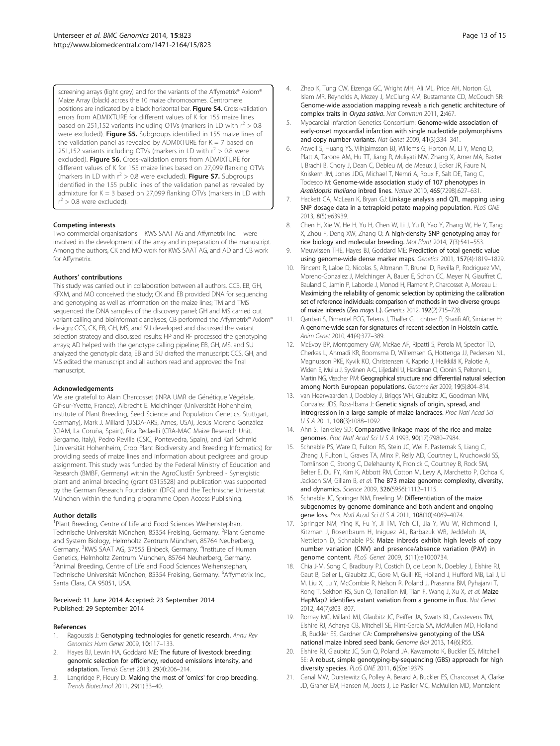<span id="page-12-0"></span>screening arrays (light grey) and for the variants of the Affymetrix® Axiom® Maize Array (black) across the 10 maize chromosomes. Centromere positions are indicated by a black horizontal bar. Figure S4. Cross-validation errors from ADMIXTURE for different values of K for 155 maize lines based on 251,152 variants including OTVs (markers in LD with  $r^2 > 0.8$ ) were excluded). Figure S5. Subgroups identified in 155 maize lines of the validation panel as revealed by ADMIXTURE for  $K = 7$  based on 251,152 variants including OTVs (markers in LD with  $r^2 > 0.8$  were excluded). Figure S6. Cross-validation errors from ADMIXTURE for different values of K for 155 maize lines based on 27,099 flanking OTVs (markers in LD with  $r^2 > 0.8$  were excluded). Figure S7. Subgroups identified in the 155 public lines of the validation panel as revealed by admixture for  $K = 3$  based on 27,099 flanking OTVs (markers in LD with r  $2 > 0.8$  were excluded).

#### Competing interests

Two commercial organisations – KWS SAAT AG and Affymetrix Inc. – were involved in the development of the array and in preparation of the manuscript. Among the authors, CK and MO work for KWS SAAT AG, and AD and CB work for Affymetrix.

#### Authors' contributions

This study was carried out in collaboration between all authors. CCS, EB, GH, KFXM, and MO conceived the study; CK and EB provided DNA for sequencing and genotyping as well as information on the maize lines; TM and TMS sequenced the DNA samples of the discovery panel; GH and MS carried out variant calling and bioinformatic analyses; CB performed the Affymetrix® Axiom® design; CCS, CK, EB, GH, MS, and SU developed and discussed the variant selection strategy and discussed results; HP and RF processed the genotyping arrays; AD helped with the genotype calling pipeline; EB, GH, MS, and SU analyzed the genotypic data; EB and SU drafted the manuscript; CCS, GH, and MS edited the manuscript and all authors read and approved the final manuscript.

#### Acknowledgements

We are grateful to Alain Charcosset (INRA UMR de Génétique Végétale, Gif-sur-Yvette, France), Albrecht E. Melchinger (Universität Hohenheim, Institute of Plant Breeding, Seed Science and Population Genetics, Stuttgart, Germany), Mark J. Millard (USDA-ARS, Ames, USA), Jesús Moreno González (CIAM, La Coruña, Spain), Rita Redaelli (CRA-MAC Maize Research Unit, Bergamo, Italy), Pedro Revilla (CSIC, Pontevedra, Spain), and Karl Schmid (Universität Hohenheim, Crop Plant Biodiversity and Breeding Informatics) for providing seeds of maize lines and information about pedigrees and group assignment. This study was funded by the Federal Ministry of Education and Research (BMBF, Germany) within the AgroClustEr Synbreed - Synergistic plant and animal breeding (grant 0315528) and publication was supported by the German Research Foundation (DFG) and the Technische Universität München within the funding programme Open Access Publishing.

#### Author details

<sup>1</sup>Plant Breeding, Centre of Life and Food Sciences Weihenstephan, Technische Universität München, 85354 Freising, Germany. <sup>2</sup>Plant Genome and System Biology, Helmholtz Zentrum München, 85764 Neuherberg, Germany. <sup>3</sup>KWS SAAT AG, 37555 Einbeck, Germany. <sup>4</sup>Institute of Human Genetics, Helmholtz Zentrum München, 85764 Neuherberg, Germany. 5 Animal Breeding, Centre of Life and Food Sciences Weihenstephan, Technische Universität München, 85354 Freising, Germany. <sup>6</sup>Affymetrix Inc., Santa Clara, CA 95051, USA.

#### Received: 11 June 2014 Accepted: 23 September 2014 Published: 29 September 2014

#### References

- Ragoussis J: Genotyping technologies for genetic research. Annu Rev Genomics Hum Genet 2009, 10:117–133.
- 2. Hayes BJ, Lewin HA, Goddard ME: The future of livestock breeding: genomic selection for efficiency, reduced emissions intensity, and adaptation. Trends Genet 2013, 29(4):206–214.
- 3. Langridge P, Fleury D: Making the most of 'omics' for crop breeding. Trends Biotechnol 2011, 29(1):33–40.
- 4. Zhao K, Tung CW, Eizenga GC, Wright MH, Ali ML, Price AH, Norton GJ, Islam MR, Reynolds A, Mezey J, McClung AM, Bustamante CD, McCouch SR: Genome-wide association mapping reveals a rich genetic architecture of complex traits in Oryza sativa. Nat Commun 2011, 2:467.
- Myocardial Infarction Genetics Consortium: Genome-wide association of early-onset myocardial infarction with single nucleotide polymorphisms and copy number variants. Nat Genet 2009, 41(3):334–341.
- 6. Atwell S, Huang YS, Vilhjalmsson BJ, Willems G, Horton M, Li Y, Meng D, Platt A, Tarone AM, Hu TT, Jiang R, Muliyati NW, Zhang X, Amer MA, Baxter I, Brachi B, Chory J, Dean C, Debieu M, de Meaux J, Ecker JR, Faure N, Kniskern JM, Jones JDG, Michael T, Nemri A, Roux F, Salt DE, Tang C, Todesco M: Genome-wide association study of 107 phenotypes in Arabidopsis thaliana inbred lines. Nature 2010, 465(7298):627–631.
- 7. Hackett CA, McLean K, Bryan GJ: Linkage analysis and QTL mapping using SNP dosage data in a tetraploid potato mapping population. PLOS ONE 2013, 8(5):e63939.
- 8. Chen H, Xie W, He H, Yu H, Chen W, Li J, Yu R, Yao Y, Zhang W, He Y, Tang X, Zhou F, Deng XW, Zhang Q: A high-density SNP genotyping array for rice biology and molecular breeding. Mol Plant 2014, 7(3):541–553.
- 9. Meuwissen THE, Hayes BJ, Goddard ME: Prediction of total genetic value using genome-wide dense marker maps. Genetics 2001, 157(4):1819–1829.
- 10. Rincent R, Laloe D, Nicolas S, Altmann T, Brunel D, Revilla P, Rodriguez VM, Moreno-Gonzalez J, Melchinger A, Bauer E, Schön CC, Meyer N, Giauffret C, Bauland C, Jamin P, Laborde J, Monod H, Flament P, Charcosset A, Moreau L: Maximizing the reliability of genomic selection by optimizing the calibration set of reference individuals: comparison of methods in two diverse groups of maize inbreds (Zea mays L.). Genetics 2012, 192(2):715–728.
- 11. Qanbari S, Pimentel ECG, Tetens J, Thaller G, Lichtner P, Sharifi AR, Simianer H: A genome-wide scan for signatures of recent selection in Holstein cattle. Anim Genet 2010, 41(4):377–389.
- 12. McEvoy BP, Montgomery GW, McRae AF, Ripatti S, Perola M, Spector TD, Cherkas L, Ahmadi KR, Boomsma D, Willemsen G, Hottenga JJ, Pedersen NL, Magnusson PKE, Kyvik KO, Christensen K, Kaprio J, Heikkilä K, Palotie A, Widen E, Muilu J, Syvänen A-C, Liljedahl U, Hardiman O, Cronin S, Peltonen L, Martin NG, Visscher PM: Geographical structure and differential natural selection among North European populations. Genome Res 2009, 19(5):804–814.
- 13. van Heerwaarden J, Doebley J, Briggs WH, Glaubitz JC, Goodman MM, Gonzalez JDS, Ross-Ibarra J: Genetic signals of origin, spread, and introgression in a large sample of maize landraces. Proc Natl Acad Sci USA 2011, 108(3):1088–1092.
- 14. Ahn S, Tanksley SD: Comparative linkage maps of the rice and maize genomes. Proc Natl Acad Sci U S A 1993, 90(17):7980–7984.
- 15. Schnable PS, Ware D, Fulton RS, Stein JC, Wei F, Pasternak S, Liang C, Zhang J, Fulton L, Graves TA, Minx P, Reily AD, Courtney L, Kruchowski SS, Tomlinson C, Strong C, Delehaunty K, Fronick C, Courtney B, Rock SM, Belter E, Du FY, Kim K, Abbott RM, Cotton M, Levy A, Marchetto P, Ochoa K, Jackson SM, Gillam B, et al: The B73 maize genome: complexity, diversity, and dynamics. Science 2009, 326(5956):1112–1115.
- 16. Schnable JC, Springer NM, Freeling M: Differentiation of the maize subgenomes by genome dominance and both ancient and ongoing gene loss. Proc Natl Acad Sci U S A 2011, 108(10):4069–4074.
- 17. Springer NM, Ying K, Fu Y, Ji TM, Yeh CT, Jia Y, Wu W, Richmond T, Kitzman J, Rosenbaum H, Iniguez AL, Barbazuk WB, Jeddeloh JA, Nettleton D, Schnable PS: Maize inbreds exhibit high levels of copy number variation (CNV) and presence/absence variation (PAV) in genome content. PLoS Genet 2009, 5(11):e1000734.
- 18. Chia J-M, Song C, Bradbury PJ, Costich D, de Leon N, Doebley J, Elshire RJ, Gaut B, Geller L, Glaubitz JC, Gore M, Guill KE, Holland J, Hufford MB, Lai J, Li M, Liu X, Lu Y, McCombie R, Nelson R, Poland J, Prasanna BM, Pyhajarvi T, Rong T, Sekhon RS, Sun Q, Tenaillon MI, Tian F, Wang J, Xu X, et al: Maize HapMap2 identifies extant variation from a genome in flux. Nat Genet 2012, 44(7):803–807.
- 19. Romay MC, Millard MJ, Glaubitz JC, Peiffer JA, Swarts KL, Casstevens TM, Elshire RJ, Acharya CB, Mitchell SE, Flint-Garcia SA, McMullen MD, Holland JB, Buckler ES, Gardner CA: Comprehensive genotyping of the USA national maize inbred seed bank. Genome Biol 2013, 14(6):R55.
- 20. Elshire RJ, Glaubitz JC, Sun Q, Poland JA, Kawamoto K, Buckler ES, Mitchell SE: A robust, simple genotyping-by-sequencing (GBS) approach for high diversity species. PLoS ONE 2011, 6(5):e19379.
- 21. Ganal MW, Durstewitz G, Polley A, Berard A, Buckler ES, Charcosset A, Clarke JD, Graner EM, Hansen M, Joets J, Le Paslier MC, McMullen MD, Montalent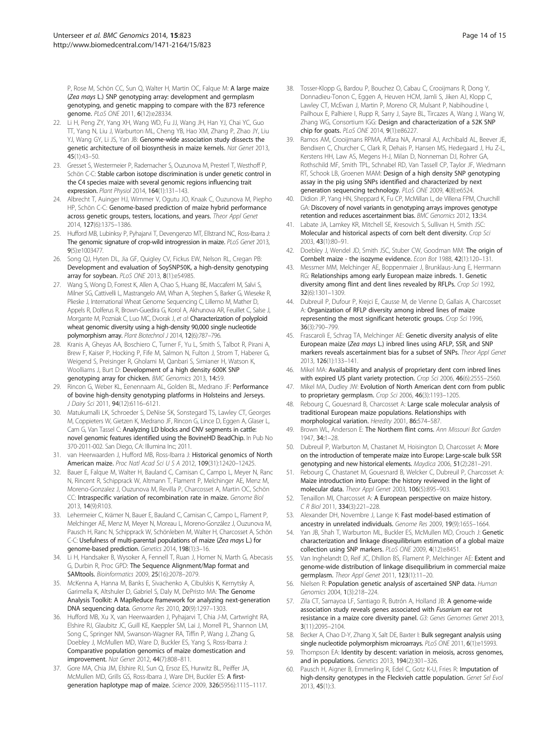<span id="page-13-0"></span>P, Rose M, Schön CC, Sun Q, Walter H, Martin OC, Falque M: A large maize (Zea mays L.) SNP genotyping array: development and germplasm genotyping, and genetic mapping to compare with the B73 reference genome. PLoS ONE 2011, 6(12):e28334.

- 22. Li H, Peng ZY, Yang XH, Wang WD, Fu JJ, Wang JH, Han YJ, Chai YC, Guo TT, Yang N, Liu J, Warburton ML, Cheng YB, Hao XM, Zhang P, Zhao JY, Liu YJ, Wang GY, Li JS, Yan JB: Genome-wide association study dissects the genetic architecture of oil biosynthesis in maize kernels. Nat Genet 2013, 45(1):43–50.
- 23. Gresset S, Westermeier P, Rademacher S, Ouzunova M, Presterl T, Westhoff P, Schön C-C: Stable carbon isotope discrimination is under genetic control in the C4 species maize with several genomic regions influencing trait expression. Plant Physiol 2014, 164(1):131–143.
- 24. Albrecht T, Auinger HJ, Wimmer V, Ogutu JO, Knaak C, Ouzunova M, Piepho HP, Schön C-C: Genome-based prediction of maize hybrid performance across genetic groups, testers, locations, and years. Theor Appl Genet 2014, 127(6):1375–1386.
- 25. Hufford MB, Lubinksy P, Pyhajarvi T, Devengenzo MT, Ellstrand NC, Ross-Ibarra J: The genomic signature of crop-wild introgression in maize. PLoS Genet 2013, 9(5):e1003477.
- 26. Song QJ, Hyten DL, Jia GF, Quigley CV, Fickus EW, Nelson RL, Cregan PB: Development and evaluation of SoySNP50K, a high-density genotyping array for soybean. PLoS ONE 2013, 8(1):e54985.
- 27. Wang S, Wong D, Forrest K, Allen A, Chao S, Huang BE, Maccaferri M, Salvi S, Milner SG, Cattivelli L, Mastrangelo AM, Whan A, Stephen S, Barker G, Wieseke R, Plieske J, International Wheat Genome Sequencing C, Lillemo M, Mather D, Appels R, Dolferus R, Brown-Guedira G, Korol A, Akhunova AR, Feuillet C, Salse J, Morgante M, Pozniak C, Luo MC, Dvorak J, et al: Characterization of polyploid wheat genomic diversity using a high-density 90,000 single nucleotide polymorphism array. Plant Biotechnol J 2014, 12(6):787–796.
- 28. Kranis A, Gheyas AA, Boschiero C, Turner F, Yu L, Smith S, Talbot R, Pirani A, Brew F, Kaiser P, Hocking P, Fife M, Salmon N, Fulton J, Strom T, Haberer G, Weigend S, Preisinger R, Gholami M, Qanbari S, Simianer H, Watson K, Woolliams J, Burt D: Development of a high density 600K SNP genotyping array for chicken. BMC Genomics 2013, 14:59.
- 29. Rincon G, Weber KL, Eenennaam AL, Golden BL, Medrano JF: Performance of bovine high-density genotyping platforms in Holsteins and Jerseys. J Dairy Sci 2011, 94(12):6116–6121.
- 30. Matukumalli LK, Schroeder S, DeNise SK, Sonstegard TS, Lawley CT, Georges M, Coppieters W, Gietzen K, Medrano JF, Rincon G, Lince D, Eggen A, Glaser L, Cam G, Van Tassel C: Analyzing LD blocks and CNV segments in cattle: novel genomic features identified using the BovineHD BeadChip. In Pub No 370-2011-002. San Diego, CA: Illumina Inc; 2011.
- 31. van Heerwaarden J, Hufford MB, Ross-Ibarra J: Historical genomics of North American maize. Proc Natl Acad Sci U S A 2012, 109(31):12420–12425.
- 32. Bauer E, Falque M, Walter H, Bauland C, Camisan C, Campo L, Meyer N, Ranc N, Rincent R, Schipprack W, Altmann T, Flament P, Melchinger AE, Menz M, Moreno-Gonzalez J, Ouzunova M, Revilla P, Charcosset A, Martin OC, Schön CC: Intraspecific variation of recombination rate in maize. Genome Biol 2013, 14(9):R103.
- 33. Lehermeier C, Krämer N, Bauer E, Bauland C, Camisan C, Campo L, Flament P, Melchinger AE, Menz M, Meyer N, Moreau L, Moreno-González J, Ouzunova M, Pausch H, Ranc N, Schipprack W, Schönleben M, Walter H, Charcosset A, Schön C-C: Usefulness of multi-parental populations of maize (Zea mays L.) for genome-based prediction. Genetics 2014, 198(1):3–16.
- 34. Li H, Handsaker B, Wysoker A, Fennell T, Ruan J, Homer N, Marth G, Abecasis G, Durbin R, Proc GPD: The Sequence Alignment/Map format and SAMtools. Bioinformatics 2009, 25(16):2078–2079.
- 35. McKenna A, Hanna M, Banks E, Sivachenko A, Cibulskis K, Kernytsky A, Garimella K, Altshuler D, Gabriel S, Daly M, DePristo MA: The Genome Analysis Toolkit: A MapReduce framework for analyzing next-generation DNA sequencing data. Genome Res 2010, 20(9):1297–1303.
- 36. Hufford MB, Xu X, van Heerwaarden J, Pyhajarvi T, Chia J-M, Cartwright RA, Elshire RJ, Glaubitz JC, Guill KE, Kaeppler SM, Lai J, Morrell PL, Shannon LM, Song C, Springer NM, Swanson-Wagner RA, Tiffin P, Wang J, Zhang G, Doebley J, McMullen MD, Ware D, Buckler ES, Yang S, Ross-Ibarra J: Comparative population genomics of maize domestication and improvement. Nat Genet 2012, 44(7):808–811.
- 37. Gore MA, Chia JM, Elshire RJ, Sun Q, Ersoz ES, Hurwitz BL, Peiffer JA, McMullen MD, Grills GS, Ross-Ibarra J, Ware DH, Buckler ES: A firstgeneration haplotype map of maize. Science 2009, 326(5956):1115–1117.
- 38. Tosser-Klopp G, Bardou P, Bouchez O, Cabau C, Crooijmans R, Dong Y, Donnadieu-Tonon C, Eggen A, Heuven HCM, Jamli S, Jiken AJ, Klopp C, Lawley CT, McEwan J, Martin P, Moreno CR, Mulsant P, Nabihoudine I, Pailhoux E, Palhiere I, Rupp R, Sarry J, Sayre BL, Tircazes A, Wang J, Wang W, Zhang WG, Consortium IGG: Design and characterization of a 52K SNP chip for goats. PLoS ONE 2014, 9(1):e86227.
- 39. Ramos AM, Crooijmans RPMA, Affara NA, Amaral AJ, Archibald AL, Beever JE, Bendixen C, Churcher C, Clark R, Dehais P, Hansen MS, Hedegaard J, Hu Z-L, Kerstens HH, Law AS, Megens H-J, Milan D, Nonneman DJ, Rohrer GA, Rothschild MF, Smith TPL, Schnabel RD, Van Tassell CP, Taylor JF, Wiedmann RT, Schook LB, Groenen MAM: Design of a high density SNP genotyping assay in the pig using SNPs identified and characterized by next generation sequencing technology. PLoS ONE 2009, 4(8):e6524.
- 40. Didion JP, Yang HN, Sheppard K, Fu CP, McMillan L, de Villena FPM, Churchill GA: Discovery of novel variants in genotyping arrays improves genotype retention and reduces ascertainment bias. BMC Genomics 2012, 13:34.
- 41. Labate JA, Lamkey KR, Mitchell SE, Kresovich S, Sullivan H, Smith JSC: Molecular and historical aspects of corn belt dent diversity. Crop Sci 2003, 43(1):80–91.
- 42. Doebley J, Wendel JD, Smith JSC, Stuber CW, Goodman MM: The origin of Cornbelt maize - the isozyme evidence. Econ Bot 1988, 42(1):120–131.
- 43. Messmer MM, Melchinger AE, Boppenmaier J, Brunklaus-Jung E, Herrmann RG: Relationships among early European maize inbreds. 1. Genetic diversity among flint and dent lines revealed by RFLPs. Crop Sci 1992, 32(6):1301–1309.
- 44. Dubreuil P, Dufour P, Krejci E, Causse M, de Vienne D, Gallais A, Charcosset A: Organization of RFLP diversity among inbred lines of maize representing the most significant heterotic groups. Crop Sci 1996, 36(3):790–799.
- 45. Frascaroli E, Schrag TA, Melchinger AE: Genetic diversity analysis of elite European maize (Zea mays L.) inbred lines using AFLP, SSR, and SNP markers reveals ascertainment bias for a subset of SNPs. Theor Appl Genet 2013, 126(1):133–141.
- 46. Mikel MA: Availability and analysis of proprietary dent corn inbred lines with expired US plant variety protection. Crop Sci 2006, 46(6):2555–2560.
- 47. Mikel MA, Dudley JW: Evolution of North American dent corn from public to proprietary germplasm. Crop Sci 2006, 46(3):1193-1205.
- 48. Rebourg C, Gouesnard B, Charcosset A: Large scale molecular analysis of traditional European maize populations. Relationships with morphological variation. Heredity 2001, 86:574–587.
- 49. Brown WL, Anderson E: The Northern flint corns. Ann Missouri Bot Garden 1947, 34:1–28.
- 50. Dubreuil P, Warburton M, Chastanet M, Hoisington D, Charcosset A: More on the introduction of temperate maize into Europe: Large-scale bulk SSR genotyping and new historical elements. Maydica 2006, 51(2):281–291.
- 51. Rebourg C, Chastanet M, Gouesnard B, Welcker C, Dubreuil P, Charcosset A: Maize introduction into Europe: the history reviewed in the light of molecular data. Theor Appl Genet 2003, 106(5):895–903.
- 52. Tenaillon MI, Charcosset A: A European perspective on maize history. C R Biol 2011, 334(3):221–228.
- 53. Alexander DH, Novembre J, Lange K: Fast model-based estimation of ancestry in unrelated individuals. Genome Res 2009, 19(9):1655–1664.
- 54. Yan JB, Shah T, Warburton ML, Buckler ES, McMullen MD, Crouch J: Genetic characterization and linkage disequilibrium estimation of a global maize collection using SNP markers. PLoS ONE 2009, 4(12):e8451.
- 55. Van Inghelandt D, Reif JC, Dhillon BS, Flament P, Melchinger AE: Extent and genome-wide distribution of linkage disequilibrium in commercial maize germplasm. Theor Appl Genet 2011, 123(1):11–20.
- 56. Nielsen R: Population genetic analysis of ascertained SNP data. Human Genomics 2004, 1(3):218–224.
- 57. Zila CT, Samayoa LF, Santiago R, Butrón A, Holland JB: A genome-wide association study reveals genes associated with Fusarium ear rot resistance in a maize core diversity panel. G3: Genes Genomes Genet 2013, 3(11):2095–2104.
- 58. Becker A, Chao D-Y, Zhang X, Salt DE, Baxter I: Bulk segregant analysis using single nucleotide polymorphism microarrays. PLoS ONE 2011, 6(1):e15993.
- 59. Thompson EA: Identity by descent: variation in meiosis, across genomes, and in populations. Genetics 2013, 194(2):301–326.
- 60. Pausch H, Aigner B, Emmerling R, Edel C, Gotz K-U, Fries R: Imputation of high-density genotypes in the Fleckvieh cattle population. Genet Sel Evol 2013, 45(1):3.